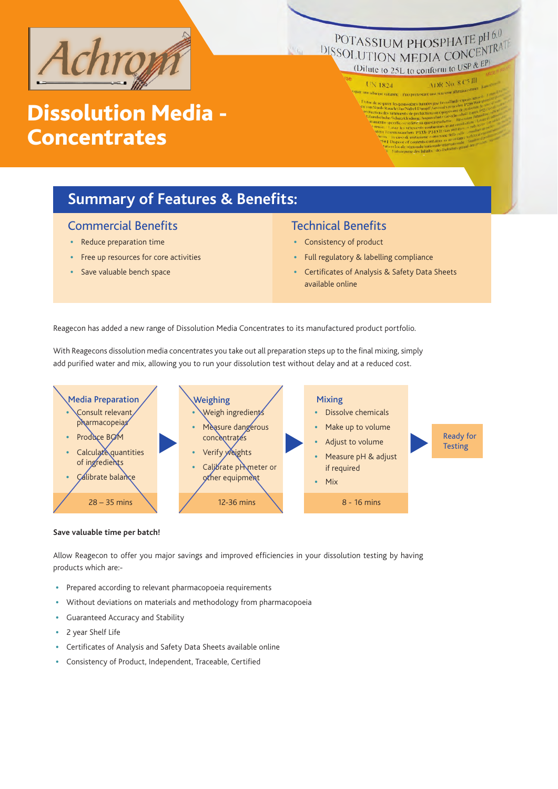

### POTASSIUM PHOSPHATE pH 6.0 **POTASSIUM PHOSPHATE PHOSPITRATE** (Dilute to 25L to conform to USP  $\& \mathbb{R}^p$ )

UN 1824

# Dissolution Media - **Concentrates**

ADR No. 8 C5 III

### **Summary of Features & Benefits:**

#### Commercial Benefits

- Reduce preparation time
- Free up resources for core activities
- Save valuable bench space

#### Technical Benefits

- Consistency of product
- Full regulatory & labelling compliance
- Certificates of Analysis & Safety Data Sheets available online

Reagecon has added a new range of Dissolution Media Concentrates to its manufactured product portfolio.

With Reagecons dissolution media concentrates you take out all preparation steps up to the final mixing, simply add purified water and mix, allowing you to run your dissolution test without delay and at a reduced cost.



#### **Save valuable time per batch!**

Allow Reagecon to offer you major savings and improved efficiencies in your dissolution testing by having products which are:-

- Prepared according to relevant pharmacopoeia requirements
- Without deviations on materials and methodology from pharmacopoeia
- Guaranteed Accuracy and Stability
- 2 year Shelf Life
- Certificates of Analysis and Safety Data Sheets available online
- Consistency of Product, Independent, Traceable, Certified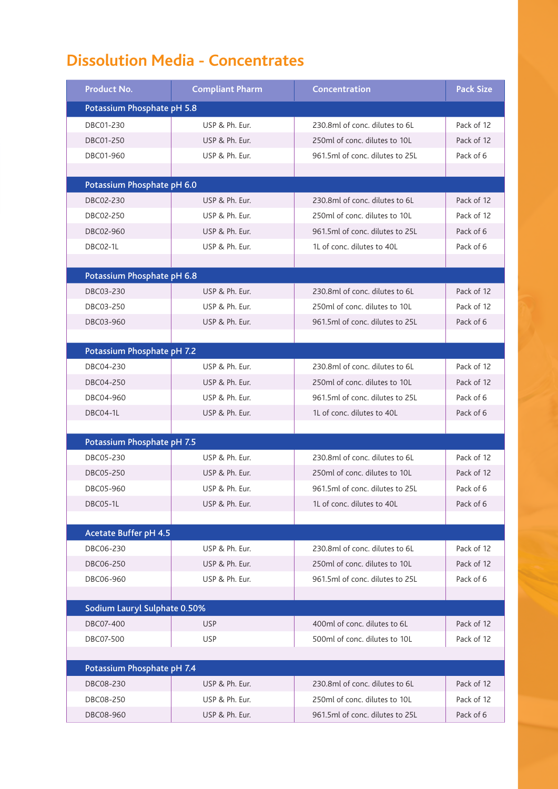# **Dissolution Media - Concentrates**

| <b>Product No.</b>           | <b>Compliant Pharm</b> | Concentration                   | <b>Pack Size</b> |
|------------------------------|------------------------|---------------------------------|------------------|
| Potassium Phosphate pH 5.8   |                        |                                 |                  |
| DBC01-230                    | USP & Ph. Eur.         | 230.8ml of conc. dilutes to 6L  | Pack of 12       |
| DBC01-250                    | USP & Ph. Eur.         | 250ml of conc. dilutes to 10L   | Pack of 12       |
| DBC01-960                    | USP & Ph. Eur.         | 961.5ml of conc. dilutes to 25L | Pack of 6        |
|                              |                        |                                 |                  |
| Potassium Phosphate pH 6.0   |                        |                                 |                  |
| DBC02-230                    | USP & Ph. Eur.         | 230.8ml of conc. dilutes to 6L  | Pack of 12       |
| DBC02-250                    | USP & Ph. Eur.         | 250ml of conc. dilutes to 10L   | Pack of 12       |
| DBC02-960                    | USP & Ph. Eur.         | 961.5ml of conc. dilutes to 25L | Pack of 6        |
| DBC02-1L                     | USP & Ph. Eur.         | 1L of conc. dilutes to 40L      | Pack of 6        |
|                              |                        |                                 |                  |
| Potassium Phosphate pH 6.8   |                        |                                 |                  |
| DBC03-230                    | USP & Ph. Eur.         | 230.8ml of conc. dilutes to 6L  | Pack of 12       |
| DBC03-250                    | USP & Ph. Eur.         | 250ml of conc. dilutes to 10L   | Pack of 12       |
| DBC03-960                    | USP & Ph. Eur.         | 961.5ml of conc. dilutes to 25L | Pack of 6        |
|                              |                        |                                 |                  |
| Potassium Phosphate pH 7.2   |                        |                                 |                  |
| DBC04-230                    | USP & Ph. Eur.         | 230.8ml of conc. dilutes to 6L  | Pack of 12       |
| DBC04-250                    | USP & Ph. Eur.         | 250ml of conc. dilutes to 10L   | Pack of 12       |
| DBC04-960                    | USP & Ph. Eur.         | 961.5ml of conc. dilutes to 25L | Pack of 6        |
| DBC04-1L                     | USP & Ph. Eur.         | 1L of conc. dilutes to 40L      | Pack of 6        |
|                              |                        |                                 |                  |
| Potassium Phosphate pH 7.5   |                        |                                 |                  |
| DBC05-230                    | USP & Ph. Eur.         | 230.8ml of conc. dilutes to 6L  | Pack of 12       |
| DBC05-250                    | USP & Ph. Eur.         | 250ml of conc. dilutes to 10L   | Pack of 12       |
| DBC05-960                    | USP & Ph. Eur.         | 961.5ml of conc. dilutes to 25L | Pack of 6        |
| DBC05-1L                     | USP & Ph. Eur.         | 1L of conc. dilutes to 40L      | Pack of 6        |
|                              |                        |                                 |                  |
| Acetate Buffer pH 4.5        |                        |                                 |                  |
| DBC06-230                    | USP & Ph. Eur.         | 230.8ml of conc. dilutes to 6L  | Pack of 12       |
| DBC06-250                    | USP & Ph. Eur.         | 250ml of conc. dilutes to 10L   | Pack of 12       |
| DBC06-960                    | USP & Ph. Eur.         | 961.5ml of conc. dilutes to 25L | Pack of 6        |
|                              |                        |                                 |                  |
| Sodium Lauryl Sulphate 0.50% |                        |                                 |                  |
| DBC07-400                    | <b>USP</b>             | 400ml of conc. dilutes to 6L    | Pack of 12       |
| DBC07-500                    | <b>USP</b>             | 500ml of conc. dilutes to 10L   | Pack of 12       |
|                              |                        |                                 |                  |
| Potassium Phosphate pH 7.4   |                        |                                 |                  |
| DBC08-230                    | USP & Ph. Eur.         | 230.8ml of conc. dilutes to 6L  | Pack of 12       |
| DBC08-250                    | USP & Ph. Eur.         | 250ml of conc. dilutes to 10L   | Pack of 12       |
| DBC08-960                    | USP & Ph. Eur.         | 961.5ml of conc. dilutes to 25L | Pack of 6        |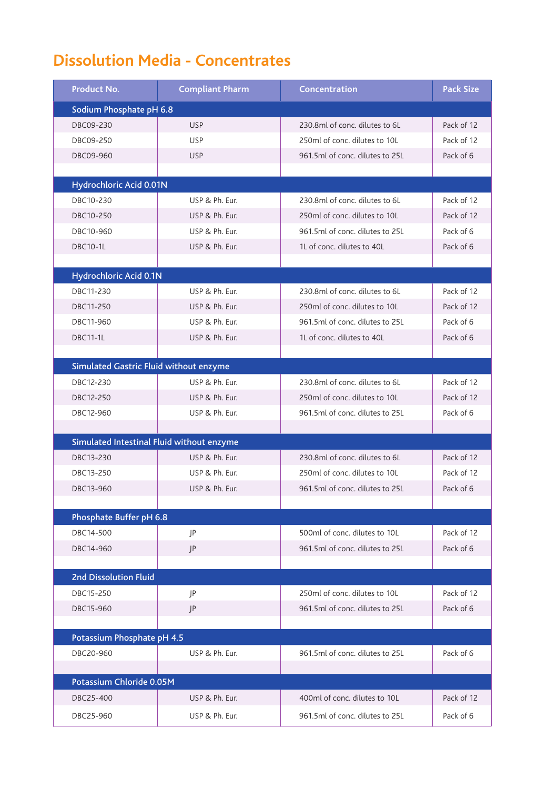# **Dissolution Media - Concentrates**

| Product No.                                   | <b>Compliant Pharm</b> | Concentration                   | <b>Pack Size</b> |
|-----------------------------------------------|------------------------|---------------------------------|------------------|
| Sodium Phosphate pH 6.8                       |                        |                                 |                  |
| DBC09-230                                     | <b>USP</b>             | 230.8ml of conc. dilutes to 6L  | Pack of 12       |
| DBC09-250                                     | <b>USP</b>             | 250ml of conc. dilutes to 10L   | Pack of 12       |
| DBC09-960                                     | <b>USP</b>             | 961.5ml of conc. dilutes to 25L | Pack of 6        |
|                                               |                        |                                 |                  |
| Hydrochloric Acid 0.01N                       |                        |                                 |                  |
| DBC10-230                                     | USP & Ph. Eur.         | 230.8ml of conc. dilutes to 6L  | Pack of 12       |
| DBC10-250                                     | USP & Ph. Eur.         | 250ml of conc. dilutes to 10L   | Pack of 12       |
| DBC10-960                                     | USP & Ph. Eur.         | 961.5ml of conc. dilutes to 25L | Pack of 6        |
| <b>DBC10-1L</b>                               | USP & Ph. Eur.         | 1L of conc. dilutes to 40L      | Pack of 6        |
|                                               |                        |                                 |                  |
| Hydrochloric Acid 0.1N                        |                        |                                 |                  |
| DBC11-230                                     | USP & Ph. Eur.         | 230.8ml of conc. dilutes to 6L  | Pack of 12       |
| DBC11-250                                     | USP & Ph. Eur.         | 250ml of conc. dilutes to 10L   | Pack of 12       |
| DBC11-960                                     | USP & Ph. Eur.         | 961.5ml of conc. dilutes to 25L | Pack of 6        |
| <b>DBC11-1L</b>                               | USP & Ph. Eur.         | 1L of conc. dilutes to 40L      | Pack of 6        |
| <b>Simulated Gastric Fluid without enzyme</b> |                        |                                 |                  |
| DBC12-230                                     | USP & Ph. Eur.         | 230.8ml of conc. dilutes to 6L  | Pack of 12       |
| DBC12-250                                     | USP & Ph. Eur.         | 250ml of conc. dilutes to 10L   | Pack of 12       |
| DBC12-960                                     | USP & Ph. Eur.         | 961.5ml of conc. dilutes to 25L | Pack of 6        |
|                                               |                        |                                 |                  |
| Simulated Intestinal Fluid without enzyme     |                        |                                 |                  |
| DBC13-230                                     | USP & Ph. Eur.         | 230.8ml of conc. dilutes to 6L  | Pack of 12       |
| DBC13-250                                     | USP & Ph. Eur.         | 250ml of conc. dilutes to 10L   | Pack of 12       |
| DBC13-960                                     | USP & Ph. Eur.         | 961.5ml of conc. dilutes to 25L | Pack of 6        |
|                                               |                        |                                 |                  |
| Phosphate Buffer pH 6.8                       |                        |                                 |                  |
| DBC14-500                                     | JP                     | 500ml of conc. dilutes to 10L   | Pack of 12       |
| DBC14-960                                     | P                      | 961.5ml of conc. dilutes to 25L | Pack of 6        |
|                                               |                        |                                 |                  |
| <b>2nd Dissolution Fluid</b>                  |                        |                                 |                  |
| DBC15-250                                     | P                      | 250ml of conc. dilutes to 10L   | Pack of 12       |
| DBC15-960                                     | P                      | 961.5ml of conc. dilutes to 25L | Pack of 6        |
| Potassium Phosphate pH 4.5                    |                        |                                 |                  |
| DBC20-960                                     | USP & Ph. Eur.         | 961.5ml of conc. dilutes to 25L | Pack of 6        |
|                                               |                        |                                 |                  |
| Potassium Chloride 0.05M                      |                        |                                 |                  |
| DBC25-400                                     | USP & Ph. Eur.         | 400ml of conc. dilutes to 10L   | Pack of 12       |
| DBC25-960                                     | USP & Ph. Eur.         | 961.5ml of conc. dilutes to 25L | Pack of 6        |